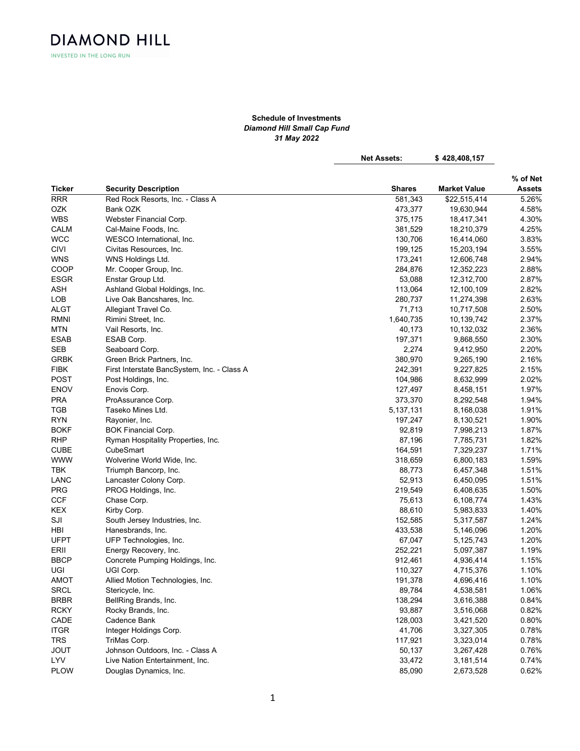**DIAMOND HILL** INVESTED IN THE LONG RUN

## Schedule of Investments Diamond Hill Small Cap Fund 31 May 2022

Net Assets: \$428,408,157

|             |                                             |               |                     | % of Net      |
|-------------|---------------------------------------------|---------------|---------------------|---------------|
| Ticker      | <b>Security Description</b>                 | <b>Shares</b> | <b>Market Value</b> | <b>Assets</b> |
| <b>RRR</b>  | Red Rock Resorts, Inc. - Class A            | 581,343       | \$22,515,414        | 5.26%         |
| OZK         | Bank OZK                                    | 473,377       | 19,630,944          | 4.58%         |
| <b>WBS</b>  | Webster Financial Corp.                     | 375,175       | 18,417,341          | 4.30%         |
| CALM        | Cal-Maine Foods, Inc.                       | 381,529       | 18,210,379          | 4.25%         |
| <b>WCC</b>  | WESCO International, Inc.                   | 130,706       | 16,414,060          | 3.83%         |
| <b>CIVI</b> | Civitas Resources, Inc.                     | 199,125       | 15,203,194          | 3.55%         |
| <b>WNS</b>  | WNS Holdings Ltd.                           | 173,241       | 12,606,748          | 2.94%         |
| COOP        | Mr. Cooper Group, Inc.                      | 284,876       | 12,352,223          | 2.88%         |
| <b>ESGR</b> | Enstar Group Ltd.                           | 53,088        | 12,312,700          | 2.87%         |
| <b>ASH</b>  | Ashland Global Holdings, Inc.               | 113,064       | 12,100,109          | 2.82%         |
| <b>LOB</b>  | Live Oak Bancshares, Inc.                   | 280,737       | 11,274,398          | 2.63%         |
| <b>ALGT</b> | Allegiant Travel Co.                        | 71,713        | 10,717,508          | 2.50%         |
| <b>RMNI</b> | Rimini Street, Inc.                         | 1,640,735     | 10,139,742          | 2.37%         |
| <b>MTN</b>  | Vail Resorts, Inc.                          | 40,173        | 10,132,032          | 2.36%         |
| <b>ESAB</b> | ESAB Corp.                                  | 197,371       | 9,868,550           | 2.30%         |
| <b>SEB</b>  | Seaboard Corp.                              | 2,274         | 9,412,950           | 2.20%         |
| <b>GRBK</b> | Green Brick Partners, Inc.                  | 380,970       | 9,265,190           | 2.16%         |
| <b>FIBK</b> | First Interstate BancSystem, Inc. - Class A | 242,391       | 9,227,825           | 2.15%         |
| <b>POST</b> | Post Holdings, Inc.                         | 104,986       | 8,632,999           | 2.02%         |
| <b>ENOV</b> | Enovis Corp.                                | 127,497       | 8,458,151           | 1.97%         |
| <b>PRA</b>  | ProAssurance Corp.                          | 373,370       | 8,292,548           | 1.94%         |
| TGB         | Taseko Mines Ltd.                           | 5,137,131     | 8,168,038           | 1.91%         |
| <b>RYN</b>  | Rayonier, Inc.                              | 197,247       | 8,130,521           | 1.90%         |
| <b>BOKF</b> | <b>BOK Financial Corp.</b>                  | 92,819        | 7,998,213           | 1.87%         |
| <b>RHP</b>  | Ryman Hospitality Properties, Inc.          | 87,196        | 7,785,731           | 1.82%         |
| <b>CUBE</b> | CubeSmart                                   | 164,591       | 7,329,237           | 1.71%         |
| <b>WWW</b>  | Wolverine World Wide, Inc.                  | 318,659       | 6,800,183           | 1.59%         |
| <b>TBK</b>  | Triumph Bancorp, Inc.                       | 88,773        | 6,457,348           | 1.51%         |
| LANC        | Lancaster Colony Corp.                      | 52,913        | 6,450,095           | 1.51%         |
| <b>PRG</b>  | PROG Holdings, Inc.                         | 219,549       | 6,408,635           | 1.50%         |
| <b>CCF</b>  | Chase Corp.                                 | 75,613        | 6,108,774           | 1.43%         |
| <b>KEX</b>  | Kirby Corp.                                 | 88,610        | 5,983,833           | 1.40%         |
| SJI         | South Jersey Industries, Inc.               | 152,585       | 5,317,587           | 1.24%         |
| HBI         | Hanesbrands, Inc.                           | 433,538       | 5,146,096           | 1.20%         |
| <b>UFPT</b> | UFP Technologies, Inc.                      | 67,047        | 5,125,743           | 1.20%         |
| ERII        | Energy Recovery, Inc.                       | 252,221       | 5,097,387           | 1.19%         |
| <b>BBCP</b> | Concrete Pumping Holdings, Inc.             | 912,461       | 4,936,414           | 1.15%         |
| UGI         | UGI Corp.                                   | 110,327       | 4,715,376           | 1.10%         |
| <b>AMOT</b> | Allied Motion Technologies, Inc.            | 191,378       | 4,696,416           | 1.10%         |
| <b>SRCL</b> | Stericycle, Inc.                            | 89,784        | 4,538,581           | 1.06%         |
| <b>BRBR</b> | BellRing Brands, Inc.                       | 138,294       | 3,616,388           | 0.84%         |
| <b>RCKY</b> | Rocky Brands, Inc.                          | 93,887        | 3,516,068           | 0.82%         |
|             |                                             |               |                     |               |
| CADE        | Cadence Bank                                | 128,003       | 3,421,520           | 0.80%         |
| <b>ITGR</b> | Integer Holdings Corp.                      | 41,706        | 3,327,305           | 0.78%         |
| <b>TRS</b>  | TriMas Corp.                                | 117,921       | 3,323,014           | 0.78%         |
| <b>JOUT</b> | Johnson Outdoors, Inc. - Class A            | 50,137        | 3,267,428           | 0.76%         |
| <b>LYV</b>  | Live Nation Entertainment, Inc.             | 33,472        | 3,181,514           | 0.74%         |
| <b>PLOW</b> | Douglas Dynamics, Inc.                      | 85,090        | 2,673,528           | 0.62%         |